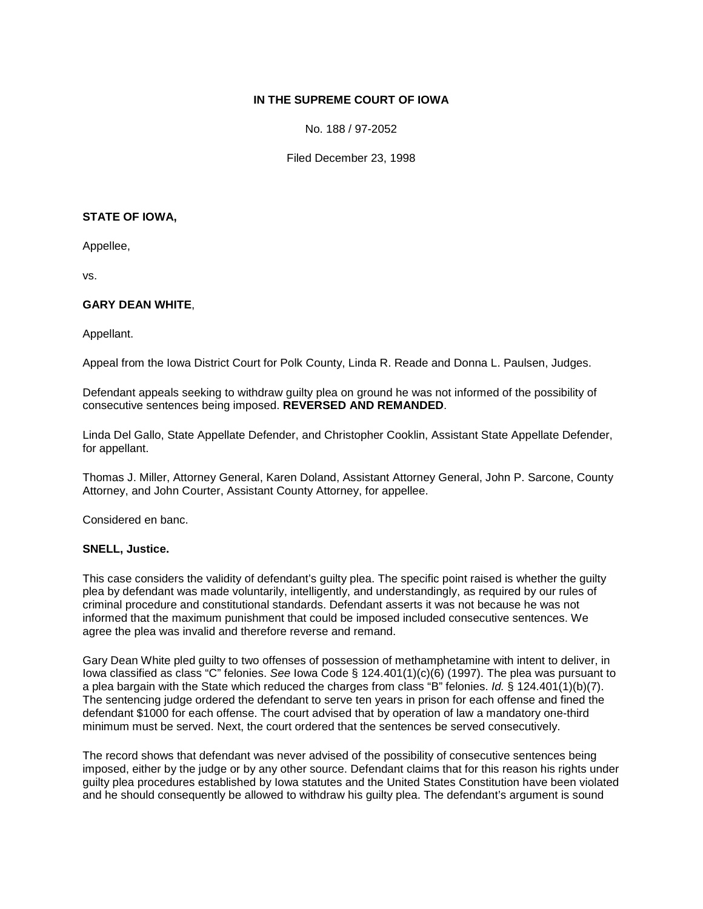# **IN THE SUPREME COURT OF IOWA**

No. 188 / 97-2052

Filed December 23, 1998

# **STATE OF IOWA,**

Appellee,

vs.

# **GARY DEAN WHITE**,

Appellant.

Appeal from the Iowa District Court for Polk County, Linda R. Reade and Donna L. Paulsen, Judges.

Defendant appeals seeking to withdraw guilty plea on ground he was not informed of the possibility of consecutive sentences being imposed. **REVERSED AND REMANDED**.

Linda Del Gallo, State Appellate Defender, and Christopher Cooklin, Assistant State Appellate Defender, for appellant.

Thomas J. Miller, Attorney General, Karen Doland, Assistant Attorney General, John P. Sarcone, County Attorney, and John Courter, Assistant County Attorney, for appellee.

Considered en banc.

### **SNELL, Justice.**

This case considers the validity of defendant's guilty plea. The specific point raised is whether the guilty plea by defendant was made voluntarily, intelligently, and understandingly, as required by our rules of criminal procedure and constitutional standards. Defendant asserts it was not because he was not informed that the maximum punishment that could be imposed included consecutive sentences. We agree the plea was invalid and therefore reverse and remand.

Gary Dean White pled guilty to two offenses of possession of methamphetamine with intent to deliver, in Iowa classified as class "C" felonies. *See* Iowa Code § 124.401(1)(c)(6) (1997). The plea was pursuant to a plea bargain with the State which reduced the charges from class "B" felonies. *Id.* § 124.401(1)(b)(7). The sentencing judge ordered the defendant to serve ten years in prison for each offense and fined the defendant \$1000 for each offense. The court advised that by operation of law a mandatory one-third minimum must be served. Next, the court ordered that the sentences be served consecutively.

The record shows that defendant was never advised of the possibility of consecutive sentences being imposed, either by the judge or by any other source. Defendant claims that for this reason his rights under guilty plea procedures established by Iowa statutes and the United States Constitution have been violated and he should consequently be allowed to withdraw his guilty plea. The defendant's argument is sound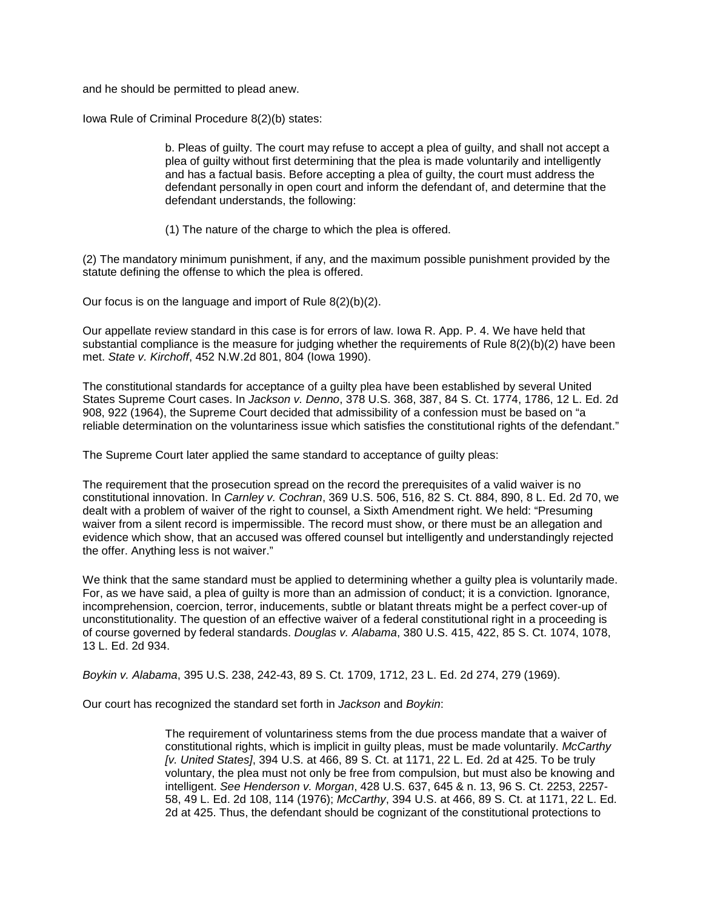and he should be permitted to plead anew.

Iowa Rule of Criminal Procedure 8(2)(b) states:

b. Pleas of guilty. The court may refuse to accept a plea of guilty, and shall not accept a plea of guilty without first determining that the plea is made voluntarily and intelligently and has a factual basis. Before accepting a plea of guilty, the court must address the defendant personally in open court and inform the defendant of, and determine that the defendant understands, the following:

(1) The nature of the charge to which the plea is offered.

(2) The mandatory minimum punishment, if any, and the maximum possible punishment provided by the statute defining the offense to which the plea is offered.

Our focus is on the language and import of Rule 8(2)(b)(2).

Our appellate review standard in this case is for errors of law. Iowa R. App. P. 4. We have held that substantial compliance is the measure for judging whether the requirements of Rule 8(2)(b)(2) have been met. *State v. Kirchoff*, 452 N.W.2d 801, 804 (Iowa 1990).

The constitutional standards for acceptance of a guilty plea have been established by several United States Supreme Court cases. In *Jackson v. Denno*, 378 U.S. 368, 387, 84 S. Ct. 1774, 1786, 12 L. Ed. 2d 908, 922 (1964), the Supreme Court decided that admissibility of a confession must be based on "a reliable determination on the voluntariness issue which satisfies the constitutional rights of the defendant."

The Supreme Court later applied the same standard to acceptance of guilty pleas:

The requirement that the prosecution spread on the record the prerequisites of a valid waiver is no constitutional innovation. In *Carnley v. Cochran*, 369 U.S. 506, 516, 82 S. Ct. 884, 890, 8 L. Ed. 2d 70, we dealt with a problem of waiver of the right to counsel, a Sixth Amendment right. We held: "Presuming waiver from a silent record is impermissible. The record must show, or there must be an allegation and evidence which show, that an accused was offered counsel but intelligently and understandingly rejected the offer. Anything less is not waiver."

We think that the same standard must be applied to determining whether a guilty plea is voluntarily made. For, as we have said, a plea of guilty is more than an admission of conduct; it is a conviction. Ignorance, incomprehension, coercion, terror, inducements, subtle or blatant threats might be a perfect cover-up of unconstitutionality. The question of an effective waiver of a federal constitutional right in a proceeding is of course governed by federal standards. *Douglas v. Alabama*, 380 U.S. 415, 422, 85 S. Ct. 1074, 1078, 13 L. Ed. 2d 934.

*Boykin v. Alabama*, 395 U.S. 238, 242-43, 89 S. Ct. 1709, 1712, 23 L. Ed. 2d 274, 279 (1969).

Our court has recognized the standard set forth in *Jackson* and *Boykin*:

The requirement of voluntariness stems from the due process mandate that a waiver of constitutional rights, which is implicit in guilty pleas, must be made voluntarily. *McCarthy [v. United States]*, 394 U.S. at 466, 89 S. Ct. at 1171, 22 L. Ed. 2d at 425. To be truly voluntary, the plea must not only be free from compulsion, but must also be knowing and intelligent. *See Henderson v. Morgan*, 428 U.S. 637, 645 & n. 13, 96 S. Ct. 2253, 2257- 58, 49 L. Ed. 2d 108, 114 (1976); *McCarthy*, 394 U.S. at 466, 89 S. Ct. at 1171, 22 L. Ed. 2d at 425. Thus, the defendant should be cognizant of the constitutional protections to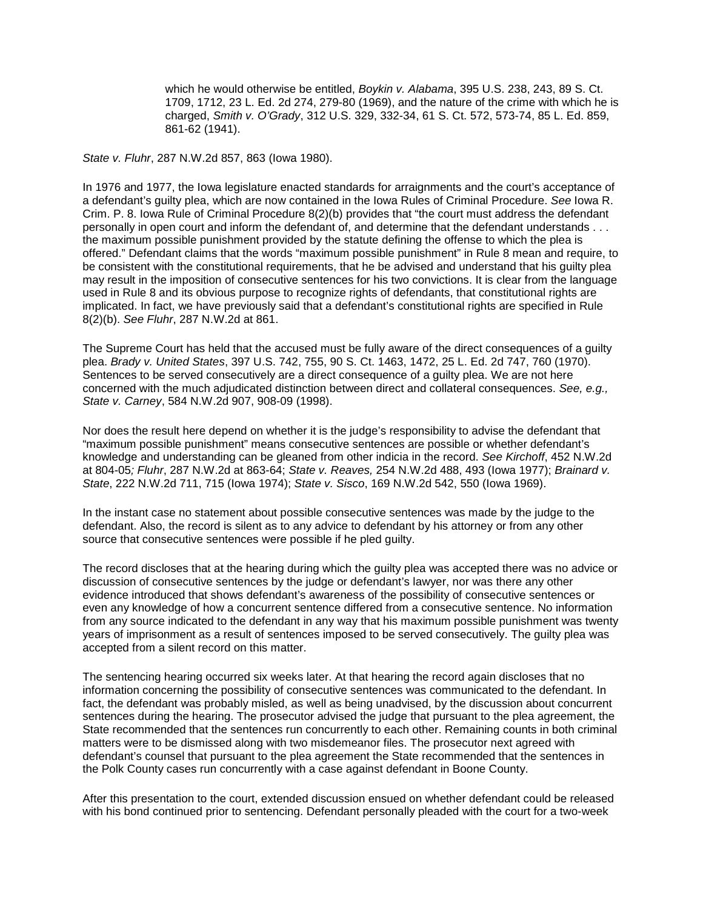which he would otherwise be entitled, *Boykin v. Alabama*, 395 U.S. 238, 243, 89 S. Ct. 1709, 1712, 23 L. Ed. 2d 274, 279-80 (1969), and the nature of the crime with which he is charged, *Smith v. O'Grady*, 312 U.S. 329, 332-34, 61 S. Ct. 572, 573-74, 85 L. Ed. 859, 861-62 (1941).

*State v. Fluhr*, 287 N.W.2d 857, 863 (Iowa 1980).

In 1976 and 1977, the Iowa legislature enacted standards for arraignments and the court's acceptance of a defendant's guilty plea, which are now contained in the Iowa Rules of Criminal Procedure. *See* Iowa R. Crim. P. 8. Iowa Rule of Criminal Procedure 8(2)(b) provides that "the court must address the defendant personally in open court and inform the defendant of, and determine that the defendant understands . . . the maximum possible punishment provided by the statute defining the offense to which the plea is offered." Defendant claims that the words "maximum possible punishment" in Rule 8 mean and require, to be consistent with the constitutional requirements, that he be advised and understand that his guilty plea may result in the imposition of consecutive sentences for his two convictions. It is clear from the language used in Rule 8 and its obvious purpose to recognize rights of defendants, that constitutional rights are implicated. In fact, we have previously said that a defendant's constitutional rights are specified in Rule 8(2)(b). *See Fluhr*, 287 N.W.2d at 861.

The Supreme Court has held that the accused must be fully aware of the direct consequences of a guilty plea. *Brady v. United States*, 397 U.S. 742, 755, 90 S. Ct. 1463, 1472, 25 L. Ed. 2d 747, 760 (1970). Sentences to be served consecutively are a direct consequence of a guilty plea. We are not here concerned with the much adjudicated distinction between direct and collateral consequences. *See, e.g., State v. Carney*, 584 N.W.2d 907, 908-09 (1998).

Nor does the result here depend on whether it is the judge's responsibility to advise the defendant that "maximum possible punishment" means consecutive sentences are possible or whether defendant's knowledge and understanding can be gleaned from other indicia in the record. *See Kirchoff*, 452 N.W.2d at 804-05*; Fluhr*, 287 N.W.2d at 863-64; *State v. Reaves,* 254 N.W.2d 488, 493 (Iowa 1977); *Brainard v. State*, 222 N.W.2d 711, 715 (Iowa 1974); *State v. Sisco*, 169 N.W.2d 542, 550 (Iowa 1969).

In the instant case no statement about possible consecutive sentences was made by the judge to the defendant. Also, the record is silent as to any advice to defendant by his attorney or from any other source that consecutive sentences were possible if he pled guilty.

The record discloses that at the hearing during which the guilty plea was accepted there was no advice or discussion of consecutive sentences by the judge or defendant's lawyer, nor was there any other evidence introduced that shows defendant's awareness of the possibility of consecutive sentences or even any knowledge of how a concurrent sentence differed from a consecutive sentence. No information from any source indicated to the defendant in any way that his maximum possible punishment was twenty years of imprisonment as a result of sentences imposed to be served consecutively. The guilty plea was accepted from a silent record on this matter.

The sentencing hearing occurred six weeks later. At that hearing the record again discloses that no information concerning the possibility of consecutive sentences was communicated to the defendant. In fact, the defendant was probably misled, as well as being unadvised, by the discussion about concurrent sentences during the hearing. The prosecutor advised the judge that pursuant to the plea agreement, the State recommended that the sentences run concurrently to each other. Remaining counts in both criminal matters were to be dismissed along with two misdemeanor files. The prosecutor next agreed with defendant's counsel that pursuant to the plea agreement the State recommended that the sentences in the Polk County cases run concurrently with a case against defendant in Boone County.

After this presentation to the court, extended discussion ensued on whether defendant could be released with his bond continued prior to sentencing. Defendant personally pleaded with the court for a two-week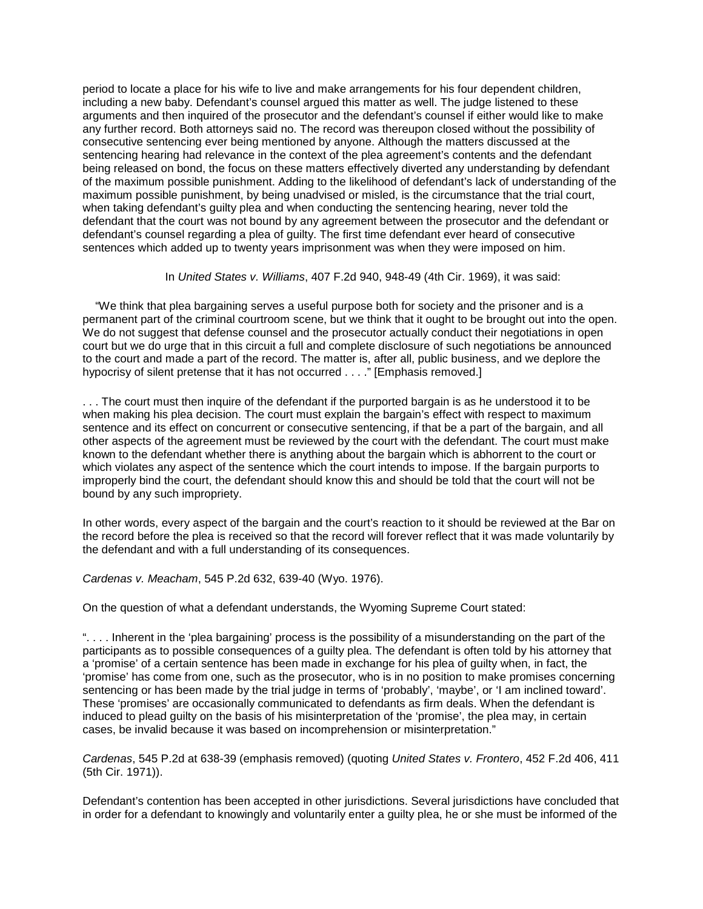period to locate a place for his wife to live and make arrangements for his four dependent children, including a new baby. Defendant's counsel argued this matter as well. The judge listened to these arguments and then inquired of the prosecutor and the defendant's counsel if either would like to make any further record. Both attorneys said no. The record was thereupon closed without the possibility of consecutive sentencing ever being mentioned by anyone. Although the matters discussed at the sentencing hearing had relevance in the context of the plea agreement's contents and the defendant being released on bond, the focus on these matters effectively diverted any understanding by defendant of the maximum possible punishment. Adding to the likelihood of defendant's lack of understanding of the maximum possible punishment, by being unadvised or misled, is the circumstance that the trial court, when taking defendant's guilty plea and when conducting the sentencing hearing, never told the defendant that the court was not bound by any agreement between the prosecutor and the defendant or defendant's counsel regarding a plea of guilty. The first time defendant ever heard of consecutive sentences which added up to twenty years imprisonment was when they were imposed on him.

In *United States v. Williams*, 407 F.2d 940, 948-49 (4th Cir. 1969), it was said:

 "We think that plea bargaining serves a useful purpose both for society and the prisoner and is a permanent part of the criminal courtroom scene, but we think that it ought to be brought out into the open. We do not suggest that defense counsel and the prosecutor actually conduct their negotiations in open court but we do urge that in this circuit a full and complete disclosure of such negotiations be announced to the court and made a part of the record. The matter is, after all, public business, and we deplore the hypocrisy of silent pretense that it has not occurred . . . ." [Emphasis removed.]

. . . The court must then inquire of the defendant if the purported bargain is as he understood it to be when making his plea decision. The court must explain the bargain's effect with respect to maximum sentence and its effect on concurrent or consecutive sentencing, if that be a part of the bargain, and all other aspects of the agreement must be reviewed by the court with the defendant. The court must make known to the defendant whether there is anything about the bargain which is abhorrent to the court or which violates any aspect of the sentence which the court intends to impose. If the bargain purports to improperly bind the court, the defendant should know this and should be told that the court will not be bound by any such impropriety.

In other words, every aspect of the bargain and the court's reaction to it should be reviewed at the Bar on the record before the plea is received so that the record will forever reflect that it was made voluntarily by the defendant and with a full understanding of its consequences.

*Cardenas v. Meacham*, 545 P.2d 632, 639-40 (Wyo. 1976).

On the question of what a defendant understands, the Wyoming Supreme Court stated:

". . . . Inherent in the 'plea bargaining' process is the possibility of a misunderstanding on the part of the participants as to possible consequences of a guilty plea. The defendant is often told by his attorney that a 'promise' of a certain sentence has been made in exchange for his plea of guilty when, in fact, the 'promise' has come from one, such as the prosecutor, who is in no position to make promises concerning sentencing or has been made by the trial judge in terms of 'probably', 'maybe', or 'I am inclined toward'. These 'promises' are occasionally communicated to defendants as firm deals. When the defendant is induced to plead guilty on the basis of his misinterpretation of the 'promise', the plea may, in certain cases, be invalid because it was based on incomprehension or misinterpretation."

*Cardenas*, 545 P.2d at 638-39 (emphasis removed) (quoting *United States v. Frontero*, 452 F.2d 406, 411 (5th Cir. 1971)).

Defendant's contention has been accepted in other jurisdictions. Several jurisdictions have concluded that in order for a defendant to knowingly and voluntarily enter a guilty plea, he or she must be informed of the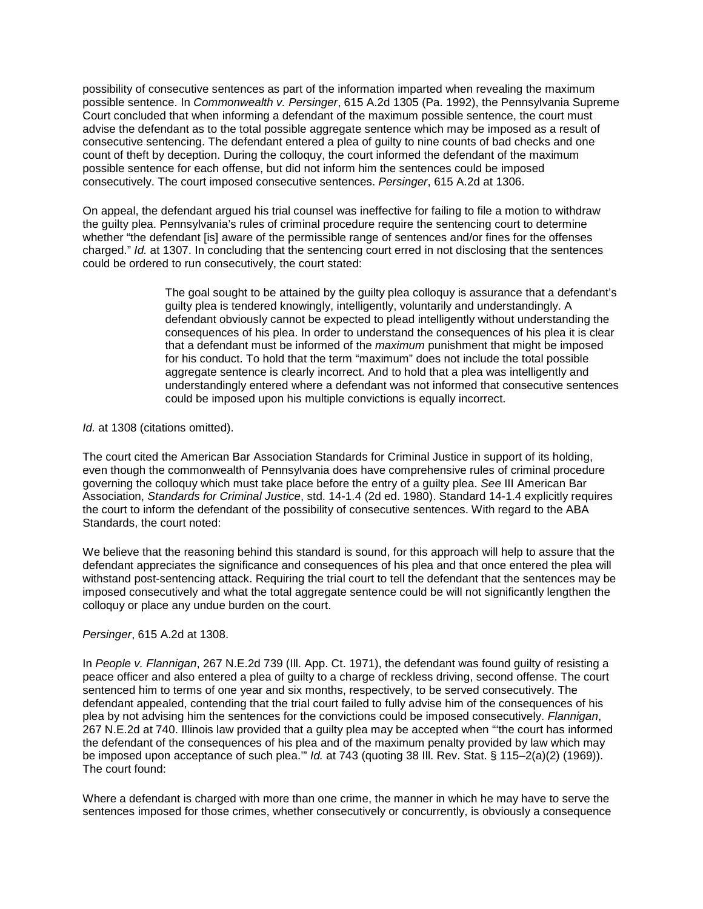possibility of consecutive sentences as part of the information imparted when revealing the maximum possible sentence. In *Commonwealth v. Persinger*, 615 A.2d 1305 (Pa. 1992), the Pennsylvania Supreme Court concluded that when informing a defendant of the maximum possible sentence, the court must advise the defendant as to the total possible aggregate sentence which may be imposed as a result of consecutive sentencing. The defendant entered a plea of guilty to nine counts of bad checks and one count of theft by deception. During the colloquy, the court informed the defendant of the maximum possible sentence for each offense, but did not inform him the sentences could be imposed consecutively. The court imposed consecutive sentences. *Persinger*, 615 A.2d at 1306.

On appeal, the defendant argued his trial counsel was ineffective for failing to file a motion to withdraw the guilty plea. Pennsylvania's rules of criminal procedure require the sentencing court to determine whether "the defendant [is] aware of the permissible range of sentences and/or fines for the offenses charged." *Id.* at 1307. In concluding that the sentencing court erred in not disclosing that the sentences could be ordered to run consecutively, the court stated:

> The goal sought to be attained by the guilty plea colloquy is assurance that a defendant's guilty plea is tendered knowingly, intelligently, voluntarily and understandingly. A defendant obviously cannot be expected to plead intelligently without understanding the consequences of his plea. In order to understand the consequences of his plea it is clear that a defendant must be informed of the *maximum* punishment that might be imposed for his conduct. To hold that the term "maximum" does not include the total possible aggregate sentence is clearly incorrect. And to hold that a plea was intelligently and understandingly entered where a defendant was not informed that consecutive sentences could be imposed upon his multiple convictions is equally incorrect.

*Id.* at 1308 (citations omitted).

The court cited the American Bar Association Standards for Criminal Justice in support of its holding, even though the commonwealth of Pennsylvania does have comprehensive rules of criminal procedure governing the colloquy which must take place before the entry of a guilty plea. *See* III American Bar Association, *Standards for Criminal Justice*, std. 14-1.4 (2d ed. 1980). Standard 14-1.4 explicitly requires the court to inform the defendant of the possibility of consecutive sentences. With regard to the ABA Standards, the court noted:

We believe that the reasoning behind this standard is sound, for this approach will help to assure that the defendant appreciates the significance and consequences of his plea and that once entered the plea will withstand post-sentencing attack. Requiring the trial court to tell the defendant that the sentences may be imposed consecutively and what the total aggregate sentence could be will not significantly lengthen the colloquy or place any undue burden on the court.

### *Persinger*, 615 A.2d at 1308.

In *People v. Flannigan*, 267 N.E.2d 739 (Ill. App. Ct. 1971), the defendant was found guilty of resisting a peace officer and also entered a plea of guilty to a charge of reckless driving, second offense. The court sentenced him to terms of one year and six months, respectively, to be served consecutively. The defendant appealed, contending that the trial court failed to fully advise him of the consequences of his plea by not advising him the sentences for the convictions could be imposed consecutively. *Flannigan*, 267 N.E.2d at 740. Illinois law provided that a guilty plea may be accepted when "'the court has informed the defendant of the consequences of his plea and of the maximum penalty provided by law which may be imposed upon acceptance of such plea.'" *Id.* at 743 (quoting 38 Ill. Rev. Stat. § 115–2(a)(2) (1969)). The court found:

Where a defendant is charged with more than one crime, the manner in which he may have to serve the sentences imposed for those crimes, whether consecutively or concurrently, is obviously a consequence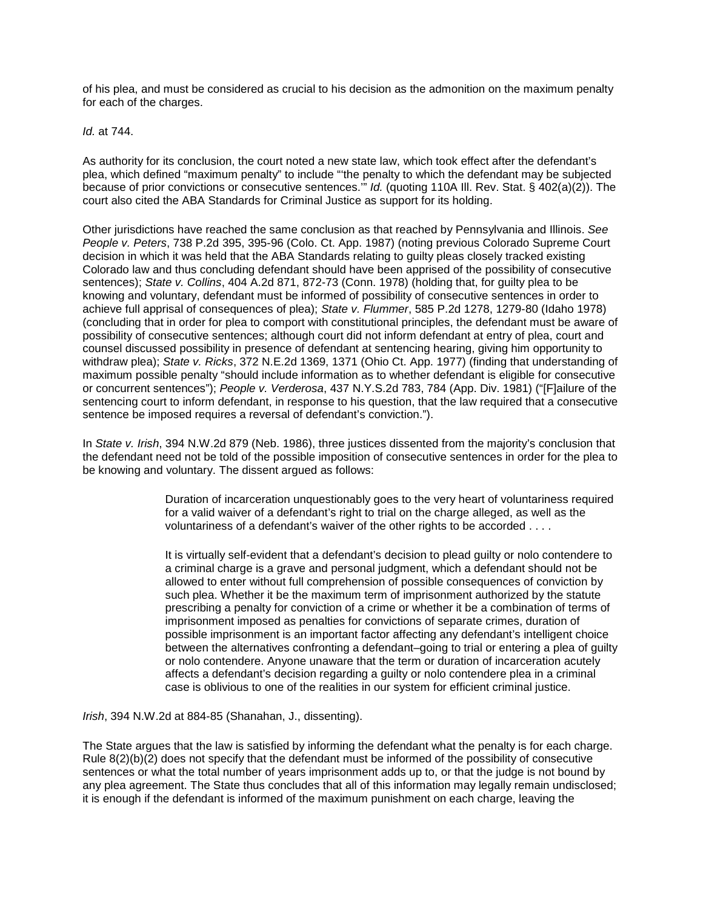of his plea, and must be considered as crucial to his decision as the admonition on the maximum penalty for each of the charges.

*Id.* at 744.

As authority for its conclusion, the court noted a new state law, which took effect after the defendant's plea, which defined "maximum penalty" to include "'the penalty to which the defendant may be subjected because of prior convictions or consecutive sentences.'" *Id.* (quoting 110A Ill. Rev. Stat. § 402(a)(2)). The court also cited the ABA Standards for Criminal Justice as support for its holding.

Other jurisdictions have reached the same conclusion as that reached by Pennsylvania and Illinois. *See People v. Peters*, 738 P.2d 395, 395-96 (Colo. Ct. App. 1987) (noting previous Colorado Supreme Court decision in which it was held that the ABA Standards relating to guilty pleas closely tracked existing Colorado law and thus concluding defendant should have been apprised of the possibility of consecutive sentences); *State v. Collins*, 404 A.2d 871, 872-73 (Conn. 1978) (holding that, for guilty plea to be knowing and voluntary, defendant must be informed of possibility of consecutive sentences in order to achieve full apprisal of consequences of plea); *State v. Flummer*, 585 P.2d 1278, 1279-80 (Idaho 1978) (concluding that in order for plea to comport with constitutional principles, the defendant must be aware of possibility of consecutive sentences; although court did not inform defendant at entry of plea, court and counsel discussed possibility in presence of defendant at sentencing hearing, giving him opportunity to withdraw plea); *State v. Ricks*, 372 N.E.2d 1369, 1371 (Ohio Ct. App. 1977) (finding that understanding of maximum possible penalty "should include information as to whether defendant is eligible for consecutive or concurrent sentences"); *People v. Verderosa*, 437 N.Y.S.2d 783, 784 (App. Div. 1981) ("[F]ailure of the sentencing court to inform defendant, in response to his question, that the law required that a consecutive sentence be imposed requires a reversal of defendant's conviction.").

In *State v. Irish*, 394 N.W.2d 879 (Neb. 1986), three justices dissented from the majority's conclusion that the defendant need not be told of the possible imposition of consecutive sentences in order for the plea to be knowing and voluntary. The dissent argued as follows:

> Duration of incarceration unquestionably goes to the very heart of voluntariness required for a valid waiver of a defendant's right to trial on the charge alleged, as well as the voluntariness of a defendant's waiver of the other rights to be accorded . . . .

> It is virtually self-evident that a defendant's decision to plead guilty or nolo contendere to a criminal charge is a grave and personal judgment, which a defendant should not be allowed to enter without full comprehension of possible consequences of conviction by such plea. Whether it be the maximum term of imprisonment authorized by the statute prescribing a penalty for conviction of a crime or whether it be a combination of terms of imprisonment imposed as penalties for convictions of separate crimes, duration of possible imprisonment is an important factor affecting any defendant's intelligent choice between the alternatives confronting a defendant–going to trial or entering a plea of guilty or nolo contendere. Anyone unaware that the term or duration of incarceration acutely affects a defendant's decision regarding a guilty or nolo contendere plea in a criminal case is oblivious to one of the realities in our system for efficient criminal justice.

*Irish*, 394 N.W.2d at 884-85 (Shanahan, J., dissenting).

The State argues that the law is satisfied by informing the defendant what the penalty is for each charge. Rule 8(2)(b)(2) does not specify that the defendant must be informed of the possibility of consecutive sentences or what the total number of years imprisonment adds up to, or that the judge is not bound by any plea agreement. The State thus concludes that all of this information may legally remain undisclosed; it is enough if the defendant is informed of the maximum punishment on each charge, leaving the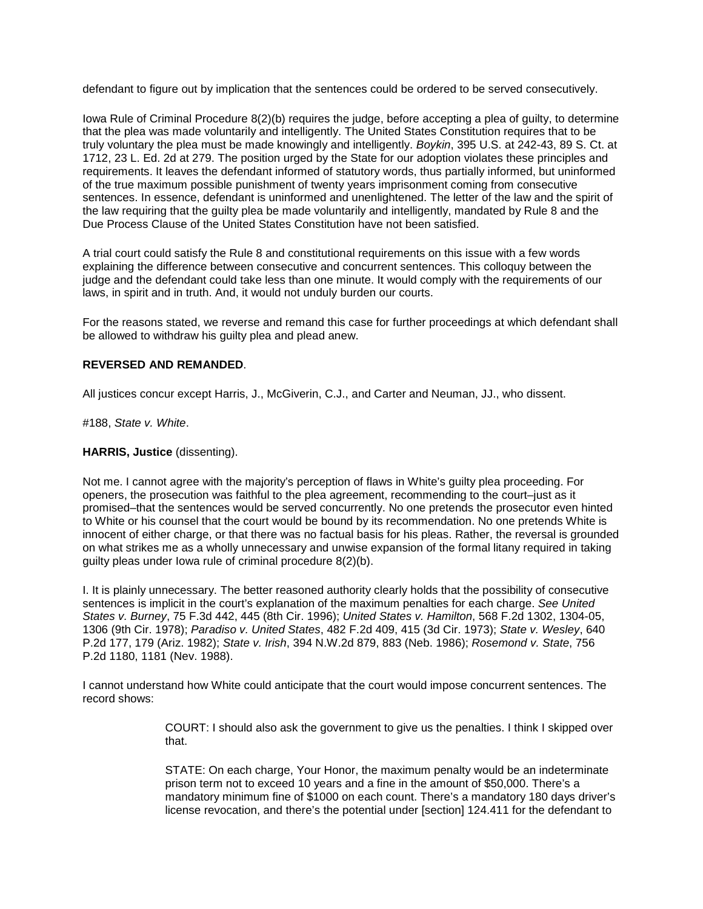defendant to figure out by implication that the sentences could be ordered to be served consecutively.

Iowa Rule of Criminal Procedure 8(2)(b) requires the judge, before accepting a plea of guilty, to determine that the plea was made voluntarily and intelligently. The United States Constitution requires that to be truly voluntary the plea must be made knowingly and intelligently. *Boykin*, 395 U.S. at 242-43, 89 S. Ct. at 1712, 23 L. Ed. 2d at 279. The position urged by the State for our adoption violates these principles and requirements. It leaves the defendant informed of statutory words, thus partially informed, but uninformed of the true maximum possible punishment of twenty years imprisonment coming from consecutive sentences. In essence, defendant is uninformed and unenlightened. The letter of the law and the spirit of the law requiring that the guilty plea be made voluntarily and intelligently, mandated by Rule 8 and the Due Process Clause of the United States Constitution have not been satisfied.

A trial court could satisfy the Rule 8 and constitutional requirements on this issue with a few words explaining the difference between consecutive and concurrent sentences. This colloquy between the judge and the defendant could take less than one minute. It would comply with the requirements of our laws, in spirit and in truth. And, it would not unduly burden our courts.

For the reasons stated, we reverse and remand this case for further proceedings at which defendant shall be allowed to withdraw his guilty plea and plead anew.

### **REVERSED AND REMANDED**.

All justices concur except Harris, J., McGiverin, C.J., and Carter and Neuman, JJ., who dissent.

#188, *State v. White*.

#### **HARRIS, Justice** (dissenting).

Not me. I cannot agree with the majority's perception of flaws in White's guilty plea proceeding. For openers, the prosecution was faithful to the plea agreement, recommending to the court–just as it promised–that the sentences would be served concurrently. No one pretends the prosecutor even hinted to White or his counsel that the court would be bound by its recommendation. No one pretends White is innocent of either charge, or that there was no factual basis for his pleas. Rather, the reversal is grounded on what strikes me as a wholly unnecessary and unwise expansion of the formal litany required in taking guilty pleas under Iowa rule of criminal procedure 8(2)(b).

I. It is plainly unnecessary. The better reasoned authority clearly holds that the possibility of consecutive sentences is implicit in the court's explanation of the maximum penalties for each charge. *See United States v. Burney*, 75 F.3d 442, 445 (8th Cir. 1996); *United States v. Hamilton*, 568 F.2d 1302, 1304-05, 1306 (9th Cir. 1978); *Paradiso v. United States*, 482 F.2d 409, 415 (3d Cir. 1973); *State v. Wesley*, 640 P.2d 177, 179 (Ariz. 1982); *State v. Irish*, 394 N.W.2d 879, 883 (Neb. 1986); *Rosemond v. State*, 756 P.2d 1180, 1181 (Nev. 1988).

I cannot understand how White could anticipate that the court would impose concurrent sentences. The record shows:

> COURT: I should also ask the government to give us the penalties. I think I skipped over that.

> STATE: On each charge, Your Honor, the maximum penalty would be an indeterminate prison term not to exceed 10 years and a fine in the amount of \$50,000. There's a mandatory minimum fine of \$1000 on each count. There's a mandatory 180 days driver's license revocation, and there's the potential under [section] 124.411 for the defendant to